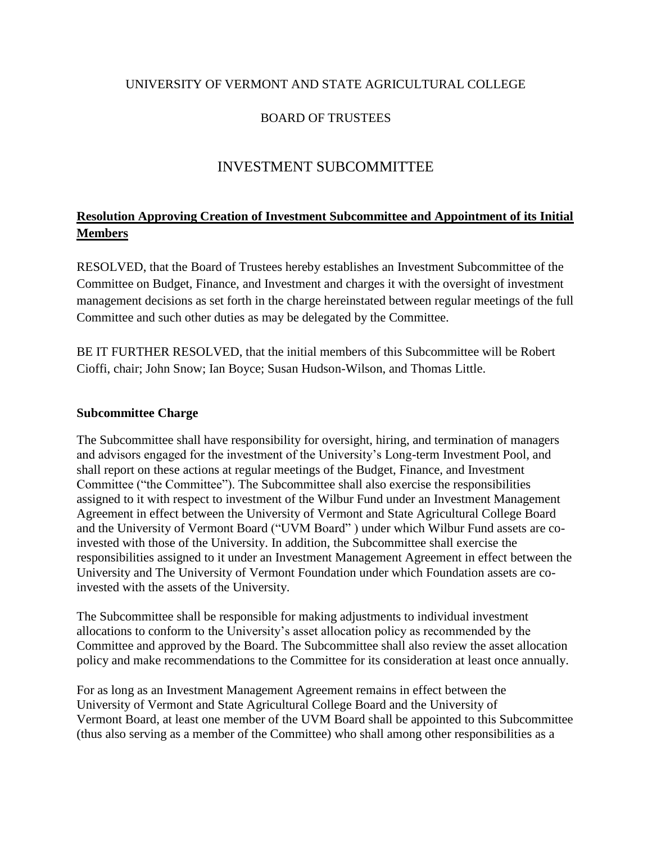### UNIVERSITY OF VERMONT AND STATE AGRICULTURAL COLLEGE

## BOARD OF TRUSTEES

# INVESTMENT SUBCOMMITTEE

## **Resolution Approving Creation of Investment Subcommittee and Appointment of its Initial Members**

RESOLVED, that the Board of Trustees hereby establishes an Investment Subcommittee of the Committee on Budget, Finance, and Investment and charges it with the oversight of investment management decisions as set forth in the charge hereinstated between regular meetings of the full Committee and such other duties as may be delegated by the Committee.

BE IT FURTHER RESOLVED, that the initial members of this Subcommittee will be Robert Cioffi, chair; John Snow; Ian Boyce; Susan Hudson-Wilson, and Thomas Little.

#### **Subcommittee Charge**

The Subcommittee shall have responsibility for oversight, hiring, and termination of managers and advisors engaged for the investment of the University's Long-term Investment Pool, and shall report on these actions at regular meetings of the Budget, Finance, and Investment Committee ("the Committee"). The Subcommittee shall also exercise the responsibilities assigned to it with respect to investment of the Wilbur Fund under an Investment Management Agreement in effect between the University of Vermont and State Agricultural College Board and the University of Vermont Board ("UVM Board" ) under which Wilbur Fund assets are coinvested with those of the University. In addition, the Subcommittee shall exercise the responsibilities assigned to it under an Investment Management Agreement in effect between the University and The University of Vermont Foundation under which Foundation assets are coinvested with the assets of the University.

The Subcommittee shall be responsible for making adjustments to individual investment allocations to conform to the University's asset allocation policy as recommended by the Committee and approved by the Board. The Subcommittee shall also review the asset allocation policy and make recommendations to the Committee for its consideration at least once annually.

For as long as an Investment Management Agreement remains in effect between the University of Vermont and State Agricultural College Board and the University of Vermont Board, at least one member of the UVM Board shall be appointed to this Subcommittee (thus also serving as a member of the Committee) who shall among other responsibilities as a